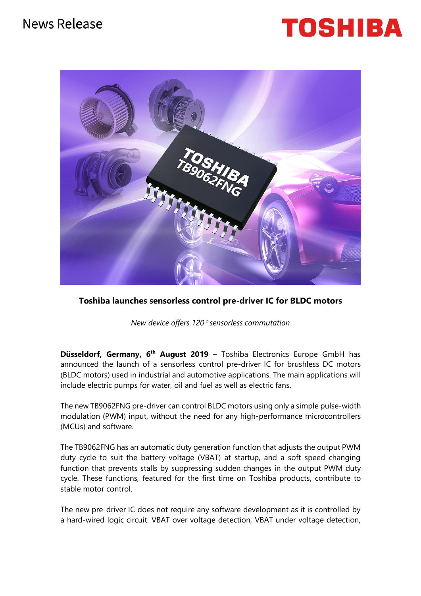# News Release





**Toshiba launches sensorless control pre-driver IC for BLDC motors**

*New device offers 120 sensorless commutation*

**Düsseldorf, Germany, 6 th August 2019** – Toshiba Electronics Europe GmbH has announced the launch of a sensorless control pre-driver IC for brushless DC motors (BLDC motors) used in industrial and automotive applications. The main applications will include electric pumps for water, oil and fuel as well as electric fans.

The new TB9062FNG pre-driver can control BLDC motors using only a simple pulse-width modulation (PWM) input, without the need for any high-performance microcontrollers (MCUs) and software.

The TB9062FNG has an automatic duty generation function that adjusts the output PWM duty cycle to suit the battery voltage (VBAT) at startup, and a soft speed changing function that prevents stalls by suppressing sudden changes in the output PWM duty cycle. These functions, featured for the first time on Toshiba products, contribute to stable motor control.

The new pre-driver IC does not require any software development as it is controlled by a hard-wired logic circuit. VBAT over voltage detection, VBAT under voltage detection,